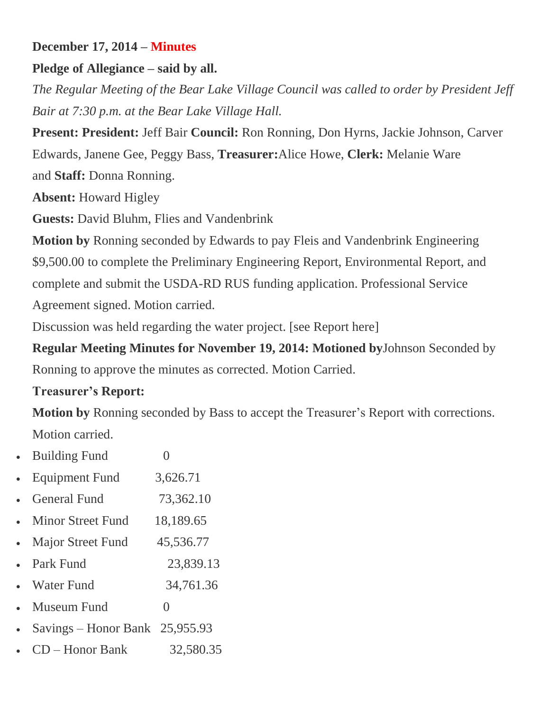# **December 17, 2014 – Minutes**

### **Pledge of Allegiance – said by all.**

*The Regular Meeting of the Bear Lake Village Council was called to order by President Jeff Bair at 7:30 p.m. at the Bear Lake Village Hall.*

**Present: President:** Jeff Bair **Council:** Ron Ronning, Don Hyrns, Jackie Johnson, Carver Edwards, Janene Gee, Peggy Bass, **Treasurer:**Alice Howe, **Clerk:** Melanie Ware and **Staff:** Donna Ronning.

**Absent:** Howard Higley

**Guests:** David Bluhm, Flies and Vandenbrink

**Motion by** Ronning seconded by Edwards to pay Fleis and Vandenbrink Engineering \$9,500.00 to complete the Preliminary Engineering Report, Environmental Report, and complete and submit the USDA-RD RUS funding application. Professional Service Agreement signed. Motion carried.

Discussion was held regarding the water project. [see [Report](https://villageofbearlake.files.wordpress.com/2015/01/811320-bear-lake-water-reliability-study-general-plan-update.pdf) here]

**Regular Meeting Minutes for November 19, 2014: Motioned by**Johnson Seconded by Ronning to approve the minutes as corrected. Motion Carried.

### **Treasurer's Report:**

**Motion by** Ronning seconded by Bass to accept the Treasurer's Report with corrections. Motion carried.

| <b>Building Fund</b>             |           |
|----------------------------------|-----------|
| <b>Equipment Fund</b>            | 3,626.71  |
| <b>General Fund</b>              | 73,362.10 |
| Minor Street Fund                | 18,189.65 |
| <b>Major Street Fund</b>         | 45,536.77 |
| Park Fund                        | 23,839.13 |
| <b>Water Fund</b>                | 34,761.36 |
| Museum Fund                      | $\theta$  |
| Savings – Honor Bank $25,955.93$ |           |
| D – Honor Bank                   | 32,580.35 |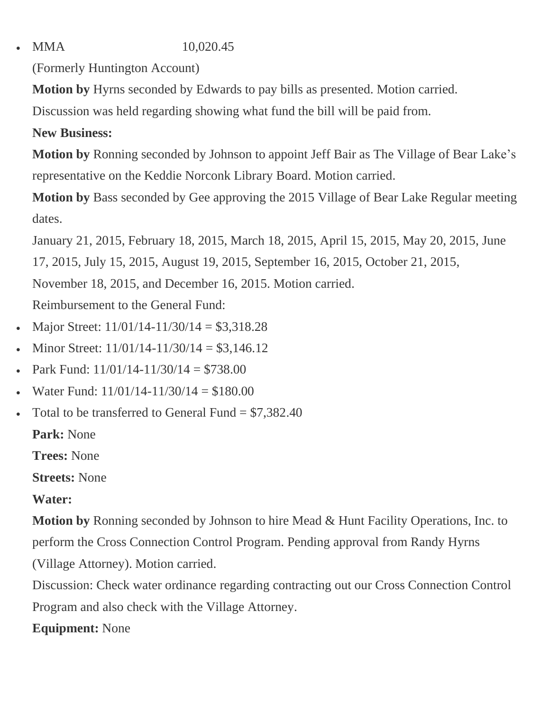MMA 10,020.45

(Formerly Huntington Account)

**Motion by** Hyrns seconded by Edwards to pay bills as presented. Motion carried.

Discussion was held regarding showing what fund the bill will be paid from.

## **New Business:**

**Motion by** Ronning seconded by Johnson to appoint Jeff Bair as The Village of Bear Lake's representative on the Keddie Norconk Library Board. Motion carried.

**Motion by** Bass seconded by Gee approving the 2015 Village of Bear Lake Regular meeting dates.

January 21, 2015, February 18, 2015, March 18, 2015, April 15, 2015, May 20, 2015, June

17, 2015, July 15, 2015, August 19, 2015, September 16, 2015, October 21, 2015,

November 18, 2015, and December 16, 2015. Motion carried.

Reimbursement to the General Fund:

- Major Street:  $11/01/14 11/30/14 = $3,318.28$
- Minor Street:  $11/01/14 11/30/14 = $3,146.12$
- Park Fund:  $11/01/14 11/30/14 = $738.00$
- Water Fund:  $11/01/14 11/30/14 = $180.00$
- Total to be transferred to General Fund  $= $7,382.40$

**Park:** None

**Trees:** None

**Streets:** None

# **Water:**

**Motion by** Ronning seconded by Johnson to hire Mead & Hunt Facility Operations, Inc. to perform the Cross Connection Control Program. Pending approval from Randy Hyrns (Village Attorney). Motion carried.

Discussion: Check water ordinance regarding contracting out our Cross Connection Control Program and also check with the Village Attorney.

**Equipment:** None